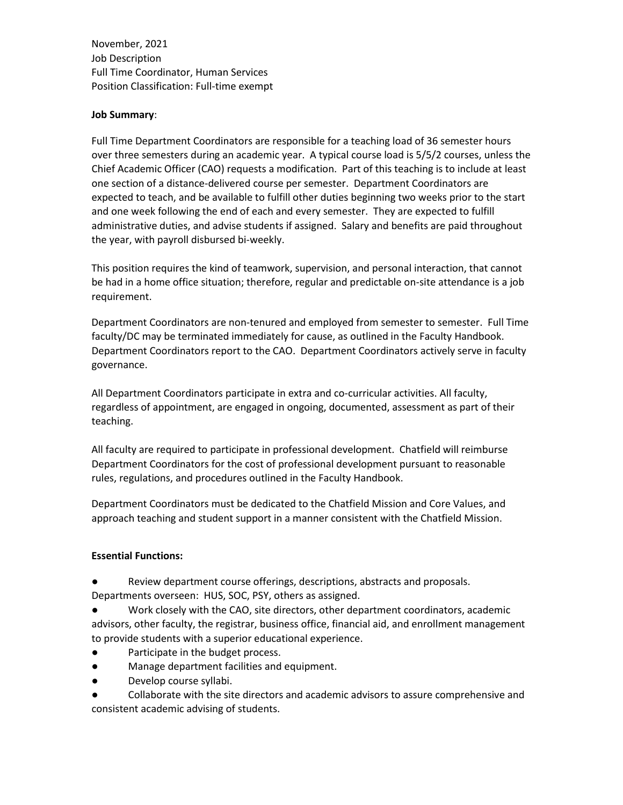November, 2021 Job Description Full Time Coordinator, Human Services Position Classification: Full-time exempt

### **Job Summary**:

Full Time Department Coordinators are responsible for a teaching load of 36 semester hours over three semesters during an academic year. A typical course load is 5/5/2 courses, unless the Chief Academic Officer (CAO) requests a modification. Part of this teaching is to include at least one section of a distance-delivered course per semester. Department Coordinators are expected to teach, and be available to fulfill other duties beginning two weeks prior to the start and one week following the end of each and every semester. They are expected to fulfill administrative duties, and advise students if assigned. Salary and benefits are paid throughout the year, with payroll disbursed bi-weekly.

This position requires the kind of teamwork, supervision, and personal interaction, that cannot be had in a home office situation; therefore, regular and predictable on-site attendance is a job requirement.

Department Coordinators are non-tenured and employed from semester to semester. Full Time faculty/DC may be terminated immediately for cause, as outlined in the Faculty Handbook. Department Coordinators report to the CAO. Department Coordinators actively serve in faculty governance.

All Department Coordinators participate in extra and co-curricular activities. All faculty, regardless of appointment, are engaged in ongoing, documented, assessment as part of their teaching.

All faculty are required to participate in professional development. Chatfield will reimburse Department Coordinators for the cost of professional development pursuant to reasonable rules, regulations, and procedures outlined in the Faculty Handbook.

Department Coordinators must be dedicated to the Chatfield Mission and Core Values, and approach teaching and student support in a manner consistent with the Chatfield Mission.

## **Essential Functions:**

- Review department course offerings, descriptions, abstracts and proposals. Departments overseen: HUS, SOC, PSY, others as assigned.
- Work closely with the CAO, site directors, other department coordinators, academic advisors, other faculty, the registrar, business office, financial aid, and enrollment management to provide students with a superior educational experience.
- Participate in the budget process.
- Manage department facilities and equipment.
- Develop course syllabi.
- Collaborate with the site directors and academic advisors to assure comprehensive and consistent academic advising of students.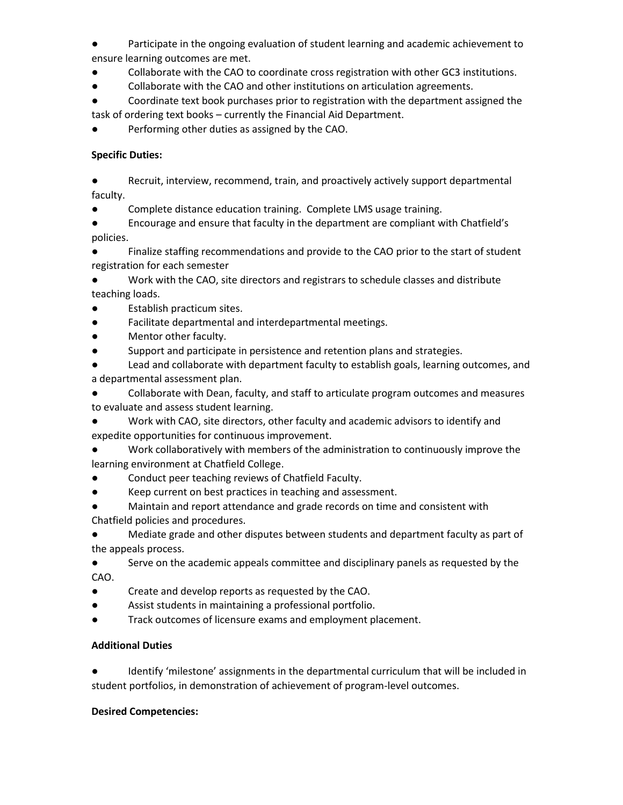Participate in the ongoing evaluation of student learning and academic achievement to ensure learning outcomes are met.

- Collaborate with the CAO to coordinate cross registration with other GC3 institutions.
- Collaborate with the CAO and other institutions on articulation agreements.

Coordinate text book purchases prior to registration with the department assigned the task of ordering text books – currently the Financial Aid Department.

Performing other duties as assigned by the CAO.

# **Specific Duties:**

● Recruit, interview, recommend, train, and proactively actively support departmental faculty.

● Complete distance education training. Complete LMS usage training.

● Encourage and ensure that faculty in the department are compliant with Chatfield's policies.

Finalize staffing recommendations and provide to the CAO prior to the start of student registration for each semester

Work with the CAO, site directors and registrars to schedule classes and distribute teaching loads.

- Establish practicum sites.
- Facilitate departmental and interdepartmental meetings.
- Mentor other faculty.

● Support and participate in persistence and retention plans and strategies.

Lead and collaborate with department faculty to establish goals, learning outcomes, and a departmental assessment plan.

Collaborate with Dean, faculty, and staff to articulate program outcomes and measures to evaluate and assess student learning.

Work with CAO, site directors, other faculty and academic advisors to identify and expedite opportunities for continuous improvement.

Work collaboratively with members of the administration to continuously improve the learning environment at Chatfield College.

- Conduct peer teaching reviews of Chatfield Faculty.
- Keep current on best practices in teaching and assessment.

Maintain and report attendance and grade records on time and consistent with Chatfield policies and procedures.

Mediate grade and other disputes between students and department faculty as part of the appeals process.

Serve on the academic appeals committee and disciplinary panels as requested by the CAO.

- Create and develop reports as requested by the CAO.
- Assist students in maintaining a professional portfolio.
- Track outcomes of licensure exams and employment placement.

## **Additional Duties**

● Identify 'milestone' assignments in the departmental curriculum that will be included in student portfolios, in demonstration of achievement of program-level outcomes.

## **Desired Competencies:**